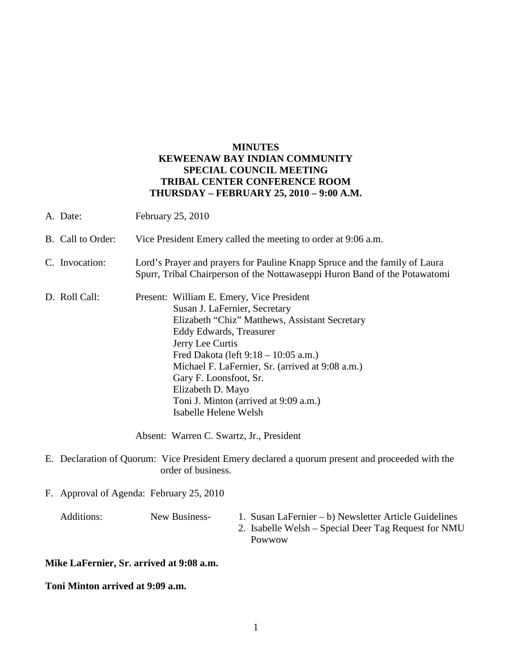## **MINUTES KEWEENAW BAY INDIAN COMMUNITY SPECIAL COUNCIL MEETING TRIBAL CENTER CONFERENCE ROOM THURSDAY – FEBRUARY 25, 2010 – 9:00 A.M.**

- A. Date: February 25, 2010
- B. Call to Order: Vice President Emery called the meeting to order at 9:06 a.m.
- C. Invocation: Lord's Prayer and prayers for Pauline Knapp Spruce and the family of Laura Spurr, Tribal Chairperson of the Nottawaseppi Huron Band of the Potawatomi
- D. Roll Call: Present: William E. Emery, Vice President Susan J. LaFernier, Secretary Elizabeth "Chiz" Matthews, Assistant Secretary Eddy Edwards, Treasurer Jerry Lee Curtis Fred Dakota (left 9:18 – 10:05 a.m.) Michael F. LaFernier, Sr. (arrived at 9:08 a.m.) Gary F. Loonsfoot, Sr. Elizabeth D. Mayo Toni J. Minton (arrived at 9:09 a.m.) Isabelle Helene Welsh

Absent: Warren C. Swartz, Jr., President

- E. Declaration of Quorum: Vice President Emery declared a quorum present and proceeded with the order of business.
- F. Approval of Agenda: February 25, 2010

- Additions: New Business- 1. Susan LaFernier b) Newsletter Article Guidelines
	- 2. Isabelle Welsh Special Deer Tag Request for NMU Powwow

**Mike LaFernier, Sr. arrived at 9:08 a.m.** 

**Toni Minton arrived at 9:09 a.m.**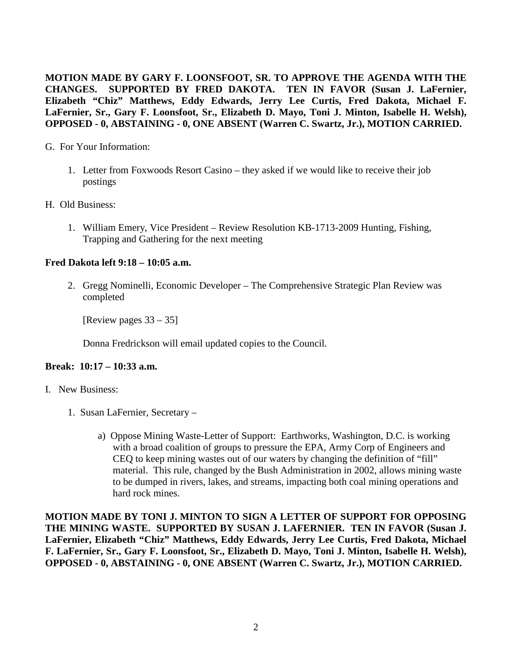**MOTION MADE BY GARY F. LOONSFOOT, SR. TO APPROVE THE AGENDA WITH THE CHANGES. SUPPORTED BY FRED DAKOTA. TEN IN FAVOR (Susan J. LaFernier, Elizabeth "Chiz" Matthews, Eddy Edwards, Jerry Lee Curtis, Fred Dakota, Michael F. LaFernier, Sr., Gary F. Loonsfoot, Sr., Elizabeth D. Mayo, Toni J. Minton, Isabelle H. Welsh), OPPOSED - 0, ABSTAINING - 0, ONE ABSENT (Warren C. Swartz, Jr.), MOTION CARRIED.**

#### G. For Your Information:

- 1. Letter from Foxwoods Resort Casino they asked if we would like to receive their job postings
- H. Old Business:
	- 1. William Emery, Vice President Review Resolution KB-1713-2009 Hunting, Fishing, Trapping and Gathering for the next meeting

### **Fred Dakota left 9:18 – 10:05 a.m.**

2. Gregg Nominelli, Economic Developer – The Comprehensive Strategic Plan Review was completed

[Review pages 33 – 35]

Donna Fredrickson will email updated copies to the Council.

#### **Break: 10:17 – 10:33 a.m.**

- I. New Business:
	- 1. Susan LaFernier, Secretary
		- a) Oppose Mining Waste-Letter of Support: Earthworks, Washington, D.C. is working with a broad coalition of groups to pressure the EPA, Army Corp of Engineers and CEQ to keep mining wastes out of our waters by changing the definition of "fill" material. This rule, changed by the Bush Administration in 2002, allows mining waste to be dumped in rivers, lakes, and streams, impacting both coal mining operations and hard rock mines.

**MOTION MADE BY TONI J. MINTON TO SIGN A LETTER OF SUPPORT FOR OPPOSING THE MINING WASTE. SUPPORTED BY SUSAN J. LAFERNIER. TEN IN FAVOR (Susan J. LaFernier, Elizabeth "Chiz" Matthews, Eddy Edwards, Jerry Lee Curtis, Fred Dakota, Michael F. LaFernier, Sr., Gary F. Loonsfoot, Sr., Elizabeth D. Mayo, Toni J. Minton, Isabelle H. Welsh), OPPOSED - 0, ABSTAINING - 0, ONE ABSENT (Warren C. Swartz, Jr.), MOTION CARRIED.**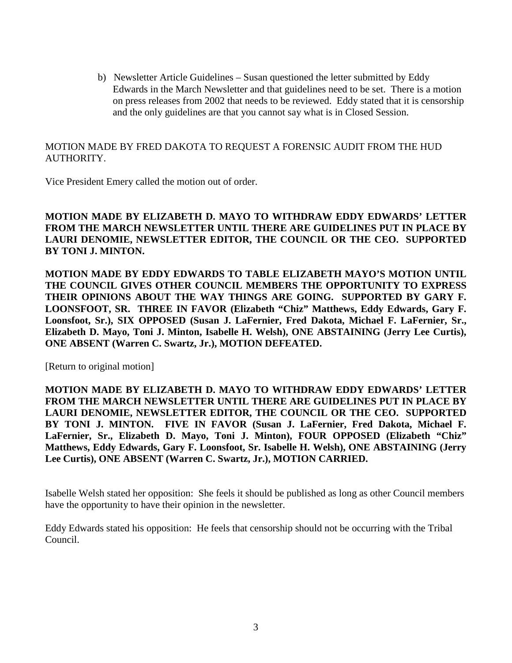b) Newsletter Article Guidelines – Susan questioned the letter submitted by Eddy Edwards in the March Newsletter and that guidelines need to be set. There is a motion on press releases from 2002 that needs to be reviewed. Eddy stated that it is censorship and the only guidelines are that you cannot say what is in Closed Session.

# MOTION MADE BY FRED DAKOTA TO REQUEST A FORENSIC AUDIT FROM THE HUD AUTHORITY.

Vice President Emery called the motion out of order.

**MOTION MADE BY ELIZABETH D. MAYO TO WITHDRAW EDDY EDWARDS' LETTER FROM THE MARCH NEWSLETTER UNTIL THERE ARE GUIDELINES PUT IN PLACE BY LAURI DENOMIE, NEWSLETTER EDITOR, THE COUNCIL OR THE CEO. SUPPORTED BY TONI J. MINTON.**

**MOTION MADE BY EDDY EDWARDS TO TABLE ELIZABETH MAYO'S MOTION UNTIL THE COUNCIL GIVES OTHER COUNCIL MEMBERS THE OPPORTUNITY TO EXPRESS THEIR OPINIONS ABOUT THE WAY THINGS ARE GOING. SUPPORTED BY GARY F. LOONSFOOT, SR. THREE IN FAVOR (Elizabeth "Chiz" Matthews, Eddy Edwards, Gary F. Loonsfoot, Sr.), SIX OPPOSED (Susan J. LaFernier, Fred Dakota, Michael F. LaFernier, Sr., Elizabeth D. Mayo, Toni J. Minton, Isabelle H. Welsh), ONE ABSTAINING (Jerry Lee Curtis), ONE ABSENT (Warren C. Swartz, Jr.), MOTION DEFEATED.**

[Return to original motion]

**MOTION MADE BY ELIZABETH D. MAYO TO WITHDRAW EDDY EDWARDS' LETTER FROM THE MARCH NEWSLETTER UNTIL THERE ARE GUIDELINES PUT IN PLACE BY LAURI DENOMIE, NEWSLETTER EDITOR, THE COUNCIL OR THE CEO. SUPPORTED BY TONI J. MINTON. FIVE IN FAVOR (Susan J. LaFernier, Fred Dakota, Michael F. LaFernier, Sr., Elizabeth D. Mayo, Toni J. Minton), FOUR OPPOSED (Elizabeth "Chiz" Matthews, Eddy Edwards, Gary F. Loonsfoot, Sr. Isabelle H. Welsh), ONE ABSTAINING (Jerry Lee Curtis), ONE ABSENT (Warren C. Swartz, Jr.), MOTION CARRIED.**

Isabelle Welsh stated her opposition: She feels it should be published as long as other Council members have the opportunity to have their opinion in the newsletter.

Eddy Edwards stated his opposition: He feels that censorship should not be occurring with the Tribal Council.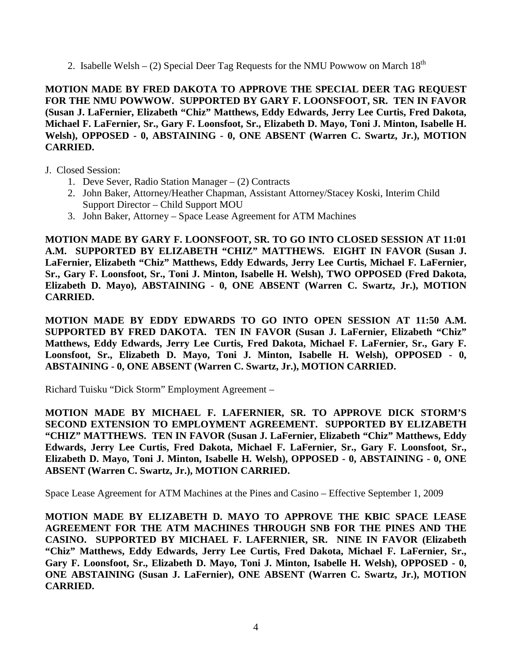2. Isabelle Welsh – (2) Special Deer Tag Requests for the NMU Powwow on March  $18<sup>th</sup>$ 

**MOTION MADE BY FRED DAKOTA TO APPROVE THE SPECIAL DEER TAG REQUEST FOR THE NMU POWWOW. SUPPORTED BY GARY F. LOONSFOOT, SR. TEN IN FAVOR (Susan J. LaFernier, Elizabeth "Chiz" Matthews, Eddy Edwards, Jerry Lee Curtis, Fred Dakota, Michael F. LaFernier, Sr., Gary F. Loonsfoot, Sr., Elizabeth D. Mayo, Toni J. Minton, Isabelle H. Welsh), OPPOSED - 0, ABSTAINING - 0, ONE ABSENT (Warren C. Swartz, Jr.), MOTION CARRIED.**

- J. Closed Session:
	- 1. Deve Sever, Radio Station Manager (2) Contracts
	- 2. John Baker, Attorney/Heather Chapman, Assistant Attorney/Stacey Koski, Interim Child Support Director – Child Support MOU
	- 3. John Baker, Attorney Space Lease Agreement for ATM Machines

**MOTION MADE BY GARY F. LOONSFOOT, SR. TO GO INTO CLOSED SESSION AT 11:01 A.M. SUPPORTED BY ELIZABETH "CHIZ" MATTHEWS. EIGHT IN FAVOR (Susan J. LaFernier, Elizabeth "Chiz" Matthews, Eddy Edwards, Jerry Lee Curtis, Michael F. LaFernier, Sr., Gary F. Loonsfoot, Sr., Toni J. Minton, Isabelle H. Welsh), TWO OPPOSED (Fred Dakota, Elizabeth D. Mayo), ABSTAINING - 0, ONE ABSENT (Warren C. Swartz, Jr.), MOTION CARRIED.**

**MOTION MADE BY EDDY EDWARDS TO GO INTO OPEN SESSION AT 11:50 A.M. SUPPORTED BY FRED DAKOTA. TEN IN FAVOR (Susan J. LaFernier, Elizabeth "Chiz" Matthews, Eddy Edwards, Jerry Lee Curtis, Fred Dakota, Michael F. LaFernier, Sr., Gary F. Loonsfoot, Sr., Elizabeth D. Mayo, Toni J. Minton, Isabelle H. Welsh), OPPOSED - 0, ABSTAINING - 0, ONE ABSENT (Warren C. Swartz, Jr.), MOTION CARRIED.** 

Richard Tuisku "Dick Storm" Employment Agreement –

**MOTION MADE BY MICHAEL F. LAFERNIER, SR. TO APPROVE DICK STORM'S SECOND EXTENSION TO EMPLOYMENT AGREEMENT. SUPPORTED BY ELIZABETH "CHIZ" MATTHEWS. TEN IN FAVOR (Susan J. LaFernier, Elizabeth "Chiz" Matthews, Eddy Edwards, Jerry Lee Curtis, Fred Dakota, Michael F. LaFernier, Sr., Gary F. Loonsfoot, Sr., Elizabeth D. Mayo, Toni J. Minton, Isabelle H. Welsh), OPPOSED - 0, ABSTAINING - 0, ONE ABSENT (Warren C. Swartz, Jr.), MOTION CARRIED.**

Space Lease Agreement for ATM Machines at the Pines and Casino – Effective September 1, 2009

**MOTION MADE BY ELIZABETH D. MAYO TO APPROVE THE KBIC SPACE LEASE AGREEMENT FOR THE ATM MACHINES THROUGH SNB FOR THE PINES AND THE CASINO. SUPPORTED BY MICHAEL F. LAFERNIER, SR. NINE IN FAVOR (Elizabeth "Chiz" Matthews, Eddy Edwards, Jerry Lee Curtis, Fred Dakota, Michael F. LaFernier, Sr., Gary F. Loonsfoot, Sr., Elizabeth D. Mayo, Toni J. Minton, Isabelle H. Welsh), OPPOSED - 0, ONE ABSTAINING (Susan J. LaFernier), ONE ABSENT (Warren C. Swartz, Jr.), MOTION CARRIED.**